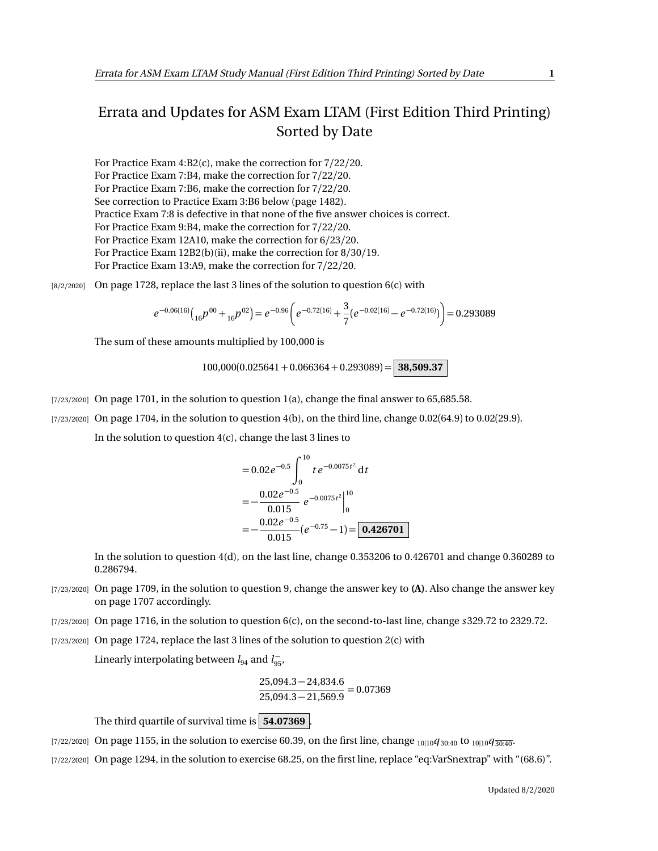## Errata and Updates for ASM Exam LTAM (First Edition Third Printing) Sorted by Date

For Practice Exam 4:B2(c), make the correction for 7/22/20. For Practice Exam 7:B4, make the correction for 7/22/20. For Practice Exam 7:B6, make the correction for 7/22/20. See correction to Practice Exam 3:B6 below (page 1482). Practice Exam 7:8 is defective in that none of the five answer choices is correct. For Practice Exam 9:B4, make the correction for 7/22/20. For Practice Exam 12A10, make the correction for 6/23/20. For Practice Exam 12B2(b)(ii), make the correction for  $8/30/19$ . For Practice Exam 13:A9, make the correction for 7/22/20.

 $[8/2/2020]$  On page 1728, replace the last 3 lines of the solution to question 6(c) with

$$
e^{-0.06(16)}\left({_{16}}p^{00}+{}_{16}p^{02}\right)=e^{-0.96}\left(e^{-0.72(16)}+{}\frac{3}{7}(e^{-0.02(16)}-e^{-0.72(16)})\right)=0.293089
$$

The sum of these amounts multiplied by 100,000 is

 $100,000(0.025641 + 0.066364 + 0.293089) =$  **38,509.37** 

- [7/23/2020] On page 1701, in the solution to question 1(a), change the final answer to 65,685.58.
- $[7/23/2020]$  On page 1704, in the solution to question 4(b), on the third line, change 0.02(64.9) to 0.02(29.9).

In the solution to question 4(c), change the last 3 lines to

$$
= 0.02e^{-0.5} \int_{0}^{10} t e^{-0.0075t^2} dt
$$
  
=  $-\frac{0.02e^{-0.5}}{0.015} e^{-0.0075t^2} \Big|_{0}^{10}$   
=  $-\frac{0.02e^{-0.5}}{0.015} (e^{-0.75} - 1) = 0.426701$ 

In the solution to question 4(d), on the last line, change 0.353206 to 0.426701 and change 0.360289 to 0.286794.

- [7/23/2020] On page 1709, in the solution to question 9, change the answer key to **(A)**. Also change the answer key on page 1707 accordingly.
- [7/23/2020] On page 1716, in the solution to question 6(c), on the second-to-last line, change *s* 329.72 to 2329.72.
- $[7/23/2020]$  On page 1724, replace the last 3 lines of the solution to question 2(c) with

Linearly interpolating between  $l_{94}$  and  $l_{95}^-$ ,

$$
\frac{25,094.3 - 24,834.6}{25,094.3 - 21,569.9} = 0.07369
$$

The third quartile of survival time is **54.07369** .

[7/22/2020] On page 1155, in the solution to exercise 60.39, on the first line, change <sub>10|10</sub> $q_{30:40}$  to <sub>10|10</sub> $q_{30:40}$ .

[7/22/2020] On page 1294, in the solution to exercise 68.25, on the first line, replace "eq:VarSnextrap" with "(68.6)".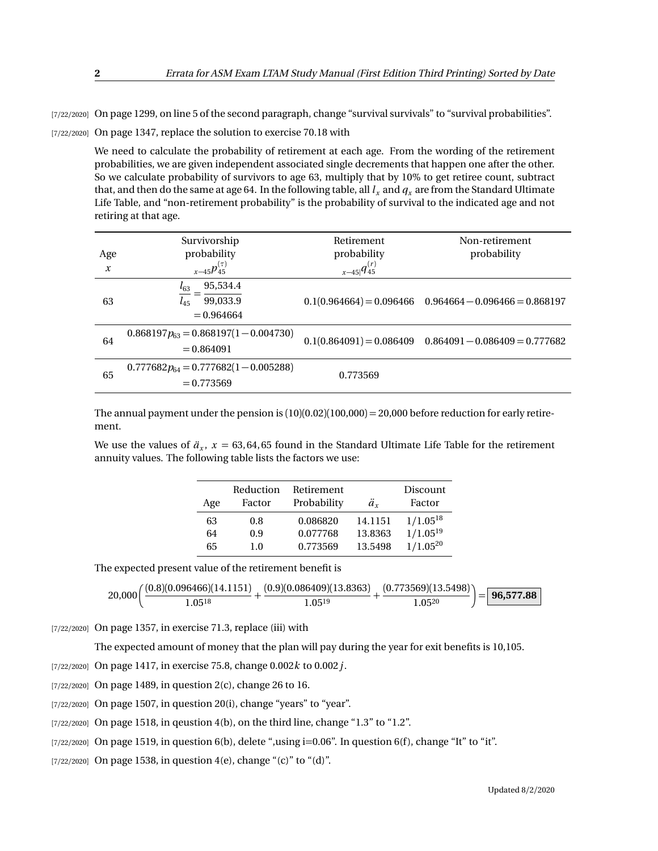[7/22/2020] On page 1299, on line 5 of the second paragraph, change "survival survivals" to "survival probabilities".

[7/22/2020] On page 1347, replace the solution to exercise 70.18 with

We need to calculate the probability of retirement at each age. From the wording of the retirement probabilities, we are given independent associated single decrements that happen one after the other. So we calculate probability of survivors to age 63, multiply that by 10% to get retiree count, subtract that, and then do the same at age 64. In the following table, all  $l_x$  and  $q_x$  are from the Standard Ultimate Life Table, and "non-retirement probability" is the probability of survival to the indicated age and not retiring at that age.

| Age<br>$\boldsymbol{x}$ | Survivorship<br>probability<br>$x-45p_{45}^{(\tau)}$         | Retirement<br>probability<br>$x-45 q_{45}^{(r)}$ | Non-retirement<br>probability                               |
|-------------------------|--------------------------------------------------------------|--------------------------------------------------|-------------------------------------------------------------|
| 63                      | 95,534.4<br>$l_{63}$<br>99,033.9<br>$l_{45}$<br>$= 0.964664$ |                                                  | $0.1(0.964664) = 0.096466$ $0.964664 - 0.096466 = 0.868197$ |
| 64                      | $0.868197p_{63} = 0.868197(1 - 0.004730)$<br>$= 0.864091$    |                                                  | $0.1(0.864091) = 0.086409$ $0.864091 - 0.086409 = 0.777682$ |
| 65                      | $0.777682p_{64} = 0.777682(1 - 0.005288)$<br>$= 0.773569$    | 0.773569                                         |                                                             |

The annual payment under the pension is  $(10)(0.02)(100,000) = 20,000$  before reduction for early retirement.

We use the values of  $\ddot{a}_x$ ,  $x = 63,64,65$  found in the Standard Ultimate Life Table for the retirement annuity values. The following table lists the factors we use:

| Age | Reduction<br>Factor | Retirement<br>Probability | ä.      | Discount<br>Factor |
|-----|---------------------|---------------------------|---------|--------------------|
| 63  | 0.8                 | 0.086820                  | 14.1151 | $1/1.05^{18}$      |
| 64  | 0.9                 | 0.077768                  | 13.8363 | $1/1.05^{19}$      |
| 65  | 1.0                 | 0.773569                  | 13.5498 | $1/1.05^{20}$      |

The expected present value of the retirement benefit is

$$
20,000\bigg(\frac{(0.8)(0.096466)(14.1151)}{1.05^{18}}+\frac{(0.9)(0.086409)(13.8363)}{1.05^{19}}+\frac{(0.773569)(13.5498)}{1.05^{20}}\bigg)=\boxed{\textbf{96,577.88}}
$$

[7/22/2020] On page 1357, in exercise 71.3, replace (iii) with

The expected amount of money that the plan will pay during the year for exit benefits is 10,105.

[7/22/2020] On page 1417, in exercise 75.8, change 0.002*k* to 0.002*j*.

[7/22/2020] On page 1489, in question 2(c), change 26 to 16.

[7/22/2020] On page 1507, in question 20(i), change "years" to "year".

[7/22/2020] On page 1518, in qeustion 4(b), on the third line, change "1.3" to "1.2".

 $[7/22/2020]$  On page 1519, in question 6(b), delete ",using i=0.06". In question 6(f), change "It" to "it".

[7/22/2020] On page 1538, in question 4(e), change "(c)" to "(d)".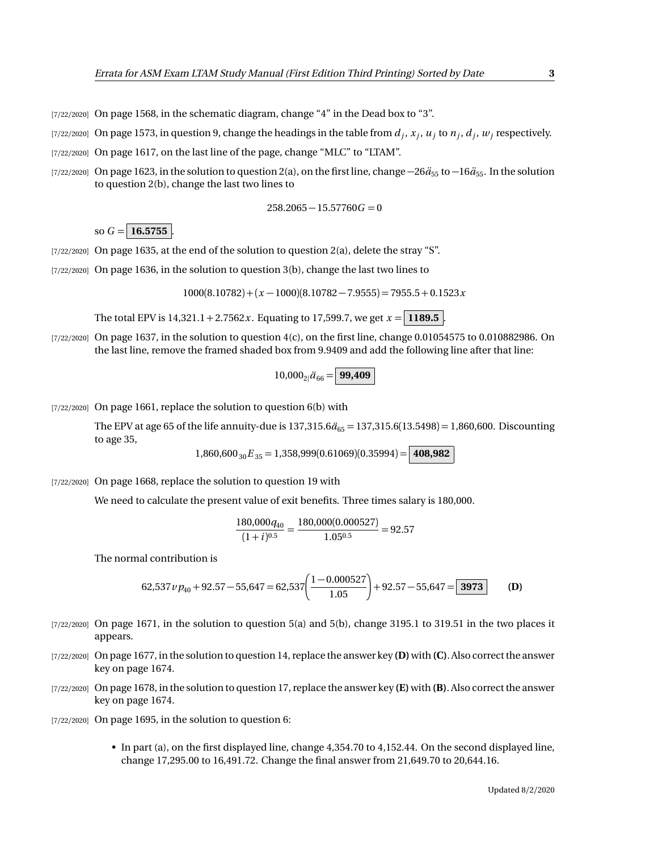- $[7/22/2020]$  On page 1568, in the schematic diagram, change "4" in the Dead box to "3".
- $_{[7/22/2020]}$  On page 1573, in question 9, change the headings in the table from  $d_j, x_j, u_j$  to  $n_j, d_j, w_j$  respectively.
- [7/22/2020] On page 1617, on the last line of the page, change "MLC" to "LTAM".
- [7/22/2020] On page 1623, in the solution to question 2(a), on the first line, change  $-26\ddot{a}_{55}$  to  $-16\ddot{a}_{55}$ . In the solution to question 2(b), change the last two lines to

$$
258.2065 - 15.57760G = 0
$$

so  $G = 16.5755$ 

- $[7/22/2020]$  On page 1635, at the end of the solution to question 2(a), delete the stray "S".
- [7/22/2020] On page 1636, in the solution to question 3(b), change the last two lines to

 $1000(8.10782) + (x - 1000)(8.10782 - 7.9555) = 7955.5 + 0.1523x$ 

The total EPV is  $14,321.1 + 2.7562x$ . Equating to 17,599.7, we get  $x = 1189.5$ .

 $[7/22/2020]$  On page 1637, in the solution to question  $4(c)$ , on the first line, change 0.01054575 to 0.010882986. On the last line, remove the framed shaded box from 9.9409 and add the following line after that line:

$$
10,000_{2}|\ddot{a}_{66}=\boxed{99,409}
$$

 $[7/22/2020]$  On page 1661, replace the solution to question 6(b) with

The EPV at age 65 of the life annuity-due is  $137,315.6\ddot{a}_{65} = 137,315.6(13.5498) = 1,860,600$ . Discounting to age 35,

 $1,860,600_{30}E_{35} = 1,358,999(0.61069)(0.35994) = |$ **408,982** 

[7/22/2020] On page 1668, replace the solution to question 19 with

We need to calculate the present value of exit benefits. Three times salary is 180,000.

$$
\frac{180,000q_{40}}{(1+i)^{0.5}} = \frac{180,000(0.000527)}{1.05^{0.5}} = 92.57
$$

The normal contribution is

62,537 
$$
v p_{40}
$$
 + 92.57 - 55,647 = 62,537  $\bigg( \frac{1 - 0.000527}{1.05} \bigg)$  + 92.57 - 55,647 = 3973 (D)

- $[7/22/2020]$  On page 1671, in the solution to question 5(a) and 5(b), change 3195.1 to 319.51 in the two places it appears.
- [7/22/2020] On page 1677, in the solution to question 14, replace the answer key **(D)**with **(C)**. Also correct the answer key on page 1674.
- [7/22/2020] On page 1678, in the solution to question 17, replace the answer key **(E)** with **(B)**. Also correct the answer key on page 1674.
- [7/22/2020] On page 1695, in the solution to question 6:
	- In part (a), on the first displayed line, change 4,354.70 to 4,152.44. On the second displayed line, change 17,295.00 to 16,491.72. Change the final answer from 21,649.70 to 20,644.16.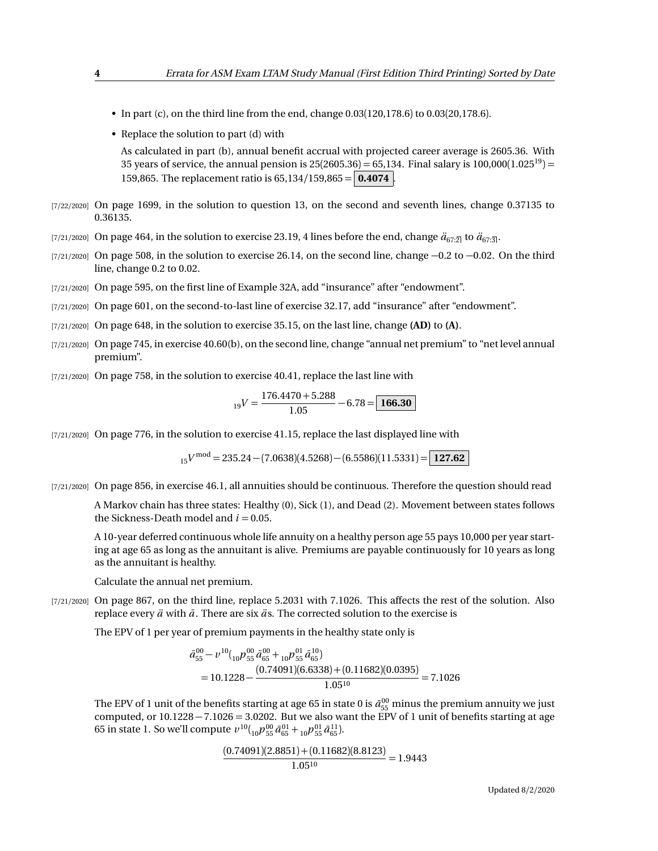- In part (c), on the third line from the end, change  $0.03(120,178.6)$  to  $0.03(20,178.6)$ .
- Replace the solution to part (d) with

As calculated in part (b), annual benefit accrual with projected career average is 2605.36. With 35 years of service, the annual pension is  $25(2605.36) = 65,134$ . Final salary is  $100,000(1.025^{19}) =$ 159,865. The replacement ratio is 65,134*/*159,865 = **0.4074** .

- [7/22/2020] On page 1699, in the solution to question 13, on the second and seventh lines, change 0.37135 to 0.36135.
- [7/21/2020] On page 464, in the solution to exercise 23.19, 4 lines before the end, change  $\ddot{a}_{67:2}$  to  $\ddot{a}_{67:3}$ .
- $[7/21/2020]$  On page 508, in the solution to exercise 26.14, on the second line, change  $-0.2$  to  $-0.02$ . On the third line, change 0.2 to 0.02.
- [7/21/2020] On page 595, on the first line of Example 32A, add "insurance" after "endowment".
- [7/21/2020] On page 601, on the second-to-last line of exercise 32.17, add "insurance" after "endowment".
- [7/21/2020] On page 648, in the solution to exercise 35.15, on the last line, change **(AD)** to **(A)**.
- [7/21/2020] On page 745, in exercise 40.60(b), on the second line, change "annual net premium" to "net level annual premium".
- [7/21/2020] On page 758, in the solution to exercise 40.41, replace the last line with

$$
_{19}V = \frac{176.4470 + 5.288}{1.05} - 6.78 = \boxed{166.30}
$$

[7/21/2020] On page 776, in the solution to exercise 41.15, replace the last displayed line with

<sup>15</sup>*V* mod = 235.24 − (7.0638)(4.5268) − (6.5586)(11.5331) = **127.62**

[7/21/2020] On page 856, in exercise 46.1, all annuities should be continuous. Therefore the question should read

A Markov chain has three states: Healthy (0), Sick (1), and Dead (2). Movement between states follows the Sickness-Death model and  $i = 0.05$ .

A 10-year deferred continuous whole life annuity on a healthy person age 55 pays 10,000 per year starting at age 65 as long as the annuitant is alive. Premiums are payable continuously for 10 years as long as the annuitant is healthy.

Calculate the annual net premium.

[7/21/2020] On page 867, on the third line, replace 5.2031 with 7.1026. This affects the rest of the solution. Also replace every  $\ddot{a}$  with  $\ddot{a}$ . There are six  $\ddot{a}$  s. The corrected solution to the exercise is

The EPV of 1 per year of premium payments in the healthy state only is

$$
\bar{a}_{55}^{00} - \nu^{10} \left( \frac{1}{10} p_{55}^{00} \bar{a}_{65}^{00} + \frac{1}{10} p_{55}^{01} \bar{a}_{65}^{10} \right) \n= 10.1228 - \frac{(0.74091)(6.6338) + (0.11682)(0.0395)}{1.05^{10}} = 7.1026
$$

The EPV of 1 unit of the benefits starting at age 65 in state 0 is  $\bar{a}_{55}^{00}$  minus the premium annuity we just computed, or  $10.1228 - 7.1026 = 3.0202$ . But we also want the EPV of 1 unit of benefits starting at age 65 in state 1. So we'll compute  $v^{10}({}_{10}p^{00}_{55}\bar{a}^{01}_{65}+{}_{10}p^{01}_{55}\bar{a}^{11}_{65}).$ 

$$
\frac{(0.74091)(2.8851) + (0.11682)(8.8123)}{1.05^{10}} = 1.9443
$$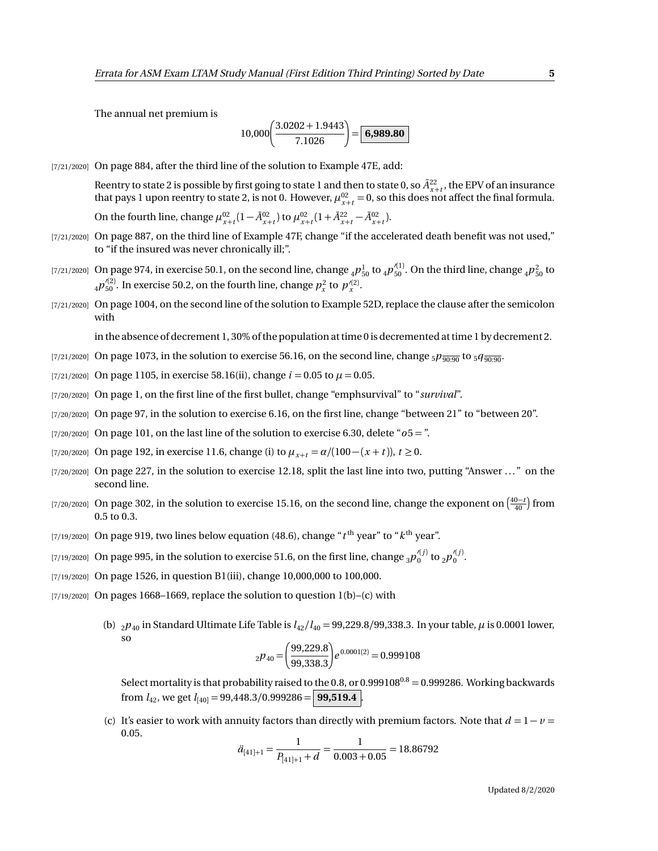The annual net premium is

$$
10,000\left(\frac{3.0202+1.9443}{7.1026}\right) = \boxed{6,989.80}
$$

[7/21/2020] On page 884, after the third line of the solution to Example 47E, add:

Reentry to state 2 is possible by first going to state 1 and then to state 0, so  $\bar{A}^{22}_{x+t}$ , the EPV of an insurance that pays 1 upon reentry to state 2, is not 0. However,  $\mu_{x+t}^{02} = 0$ , so this does not affect the final formula. On the fourth line, change  $\mu_{x+t}^{02} (1 - \bar{A}_{x+t}^{02})$  to  $\mu_{x+t}^{02} (1 + \bar{A}_{x+t}^{22} - \bar{A}_{x+t}^{02})$ .

- [7/21/2020] On page 887, on the third line of Example 47F, change "if the accelerated death benefit was not used," to "if the insured was never chronically ill;".
- [7/21/2020] On page 974, in exercise 50.1, on the second line, change  $_4P_{50}^1$  to  $_4p_{50}^{\prime(1)}$ . On the third line, change  $_4p_{50}^2$  to  $_4p_{50}^{\prime(2)}$ . In exercise 50.2, on the fourth line, change  $p_x^2$  to  $p_x^{\prime(2)}$ .
- [7/21/2020] On page 1004, on the second line of the solution to Example 52D, replace the clause after the semicolon with

in the absence of decrement 1, 30% of the population at time 0 is decremented at time 1 by decrement 2.

- [7/21/2020] On page 1073, in the solution to exercise 56.16, on the second line, change  $_5p_{\overline{90:90}}$  to  $_5q_{\overline{90:90}}$ .
- [7/21/2020] On page 1105, in exercise 58.16(ii), change  $i = 0.05$  to  $\mu = 0.05$ .
- [7/20/2020] On page 1, on the first line of the first bullet, change "emphsurvival" to "*survival*".
- [7/20/2020] On page 97, in the solution to exercise 6.16, on the first line, change "between 21" to "between 20".
- [7/20/2020] On page 101, on the last line of the solution to exercise 6.30, delete "*o*5 = ".
- [7/20/2020] On page 192, in exercise 11.6, change (i) to  $\mu_{x+t} = \alpha/(100 (x + t))$ ,  $t ≥ 0$ .
- [7/20/2020] On page 227, in the solution to exercise 12.18, split the last line into two, putting "Answer ..." on the second line.
- [7/20/2020] On page 302, in the solution to exercise 15.16, on the second line, change the exponent on  $\left(\frac{40-t}{40}\right)$  from 0.5 to 0.3.
- $_{\left[7/19/2020\right]}$  On page 919, two lines below equation (48.6), change " $t^{\rm th}$  year" to " $k^{\rm th}$  year".
- [7/19/2020] On page 995, in the solution to exercise 51.6, on the first line, change  $_3p_0^{\prime(j)}$  to  $_2p_0^{\prime(j)}$ .
- [7/19/2020] On page 1526, in question B1(iii), change 10,000,000 to 100,000.
- $[7/19/2020]$  On pages 1668–1669, replace the solution to question 1(b)–(c) with
	- (b)  $_2p_{40}$  in Standard Ultimate Life Table is  $l_{42}/l_{40} = 99,229.8/99,338.3$ . In your table,  $\mu$  is 0.0001 lower, so

$$
_{2}p_{40} = \left(\frac{99,229.8}{99,338.3}\right) e^{0.0001(2)} = 0.999108
$$

Select mortality is that probability raised to the 0.8, or 0.999108<sup>0.8</sup> = 0.999286. Working backwards from  $l_{42}$ , we get  $l_{[40]} = 99,448.3/0.999286 =$  **99,519.4** 

(c) It's easier to work with annuity factors than directly with premium factors. Note that  $d = 1 - v =$ 0.05.

$$
\ddot{a}_{[41]+1} = \frac{1}{P_{[41]+1} + d} = \frac{1}{0.003 + 0.05} = 18.86792
$$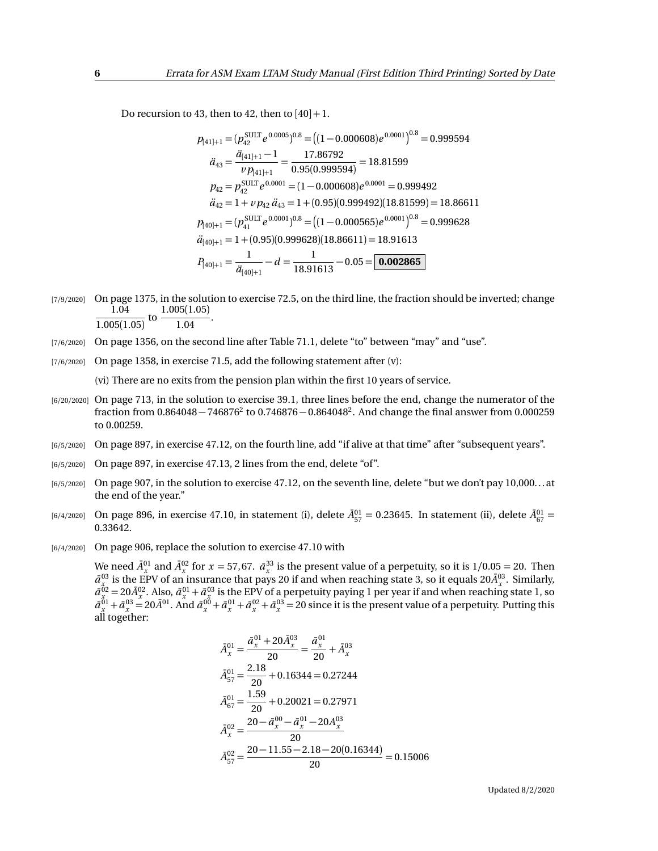Do recursion to 43, then to 42, then to  $[40]+1$ .

$$
p_{[41]+1} = (p_{42}^{\text{SULT}} e^{0.0005})^{0.8} = ((1 - 0.000608)e^{0.0001})^{0.8} = 0.999594
$$
  
\n
$$
\ddot{a}_{43} = \frac{\ddot{a}_{[41]+1} - 1}{v p_{[41]+1}} = \frac{17.86792}{0.95(0.999594)} = 18.81599
$$
  
\n
$$
p_{42} = p_{42}^{\text{SULT}} e^{0.0001} = (1 - 0.000608)e^{0.0001} = 0.999492
$$
  
\n
$$
\ddot{a}_{42} = 1 + v p_{42} \ddot{a}_{43} = 1 + (0.95)(0.999492)(18.81599) = 18.86611
$$
  
\n
$$
p_{[40]+1} = (p_{41}^{\text{SULT}} e^{0.0001})^{0.8} = ((1 - 0.000565)e^{0.0001})^{0.8} = 0.999628
$$
  
\n
$$
\ddot{a}_{[40]+1} = 1 + (0.95)(0.999628)(18.86611) = 18.91613
$$
  
\n
$$
P_{[40]+1} = \frac{1}{\ddot{a}_{[40]+1}} - d = \frac{1}{18.91613} - 0.05 = 0.002865
$$

- [7/9/2020] On page 1375, in the solution to exercise 72.5, on the third line, the fraction should be inverted; change 1.04  $\frac{1.04}{1.005(1.05)}$  to  $\frac{1.005(1.05)}{1.04}$  $\frac{1.04}{1.04}$ .
- [7/6/2020] On page 1356, on the second line after Table 71.1, delete "to" between "may" and "use".
- [7/6/2020] On page 1358, in exercise 71.5, add the following statement after (v):

(vi) There are no exits from the pension plan within the first 10 years of service.

- [6/20/2020] On page 713, in the solution to exercise 39.1, three lines before the end, change the numerator of the fraction from  $0.864048 - 746876^2$  to  $0.746876 - 0.864048^2$ . And change the final answer from  $0.000259$ to 0.00259.
- [6/5/2020] On page 897, in exercise 47.12, on the fourth line, add "if alive at that time" after "subsequent years".
- [6/5/2020] On page 897, in exercise 47.13, 2 lines from the end, delete "of".
- [6/5/2020] On page 907, in the solution to exercise 47.12, on the seventh line, delete "but we don't pay 10,000... at the end of the year."
- $[6/4/2020]$  On page 896, in exercise 47.10, in statement (i), delete  $\bar{A}^{01}_{57} = 0.23645$ . In statement (ii), delete  $\bar{A}^{01}_{67} = 0.02364$ 0.33642.
- [6/4/2020] On page 906, replace the solution to exercise 47.10 with

We need  $\bar{A}_x^{01}$  and  $\bar{A}_x^{02}$  for  $x = 57,67$ .  $\bar{a}_x^{33}$  is the present value of a perpetuity, so it is  $1/0.05 = 20$ . Then  $\bar{a}^{03}_{x}$  is the EPV of an insurance that pays 20 if and when reaching state 3, so it equals 20 $\bar{A}^{03}_{x}$ . Similarly,  $\bar{a}^{02}_{x}$  = 20 $\bar{A}^{02}_{x}$ . Also,  $\bar{a}^{01}_{x}$  +  $\bar{a}^{03}_{x}$  is the EPV of a perpetuity paying 1 per year if and when reaching state 1, so  $\bar{a}^{01}_x + \bar{a}^{03}_x = 20 \bar{A}^{01}$ . And  $\bar{a}^{00}_x + \bar{a}^{01}_x + \bar{a}^{02}_x + \bar{a}^{03}_x = 20$  since it is the present value of a perpetuity. Putting this all together:

$$
\bar{A}^{01}_{x} = \frac{\bar{a}^{01}_{x} + 20\bar{A}^{03}_{x}}{20} = \frac{\bar{a}^{01}_{x}}{20} + \bar{A}^{03}_{x}
$$
\n
$$
\bar{A}^{01}_{57} = \frac{2.18}{20} + 0.16344 = 0.27244
$$
\n
$$
\bar{A}^{01}_{67} = \frac{1.59}{20} + 0.20021 = 0.27971
$$
\n
$$
\bar{A}^{02}_{x} = \frac{20 - \bar{a}^{00}_{x} - \bar{a}^{01}_{x} - 20A^{03}_{x}}{20}
$$
\n
$$
\bar{A}^{02}_{57} = \frac{20 - 11.55 - 2.18 - 20(0.16344)}{20} = 0.15006
$$

Updated 8/2/2020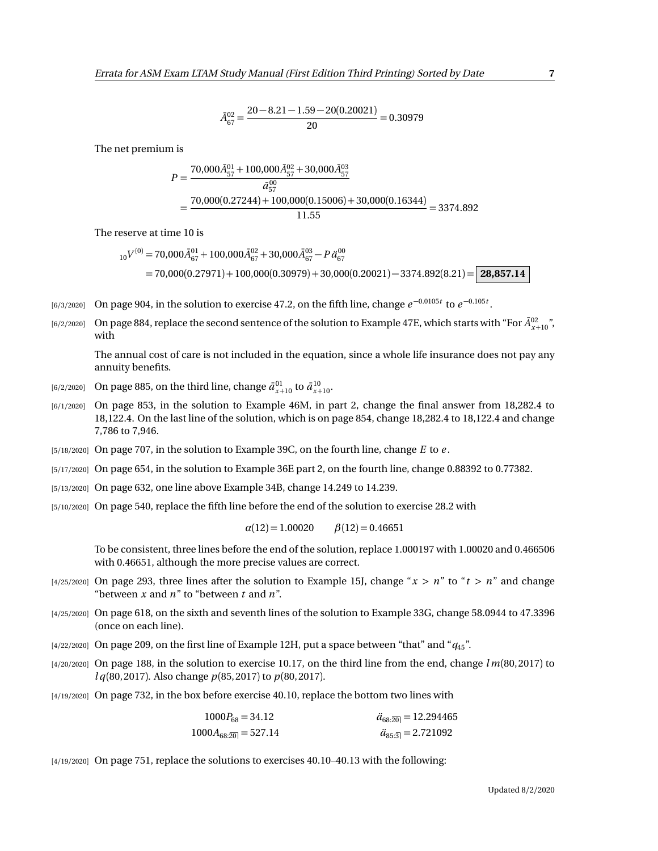$$
\bar{A}_{67}^{02} = \frac{20 - 8.21 - 1.59 - 20(0.20021)}{20} = 0.30979
$$

The net premium is

$$
P = \frac{70,000\overline{A}_{57}^{01} + 100,000\overline{A}_{57}^{02} + 30,000\overline{A}_{57}^{03}}{\overline{a}_{57}^{00}}
$$
  
= 
$$
\frac{70,000(0.27244) + 100,000(0.15006) + 30,000(0.16344)}{11.55} = 3374.892
$$

The reserve at time 10 is

$$
{}_{10}V^{(0)} = 70,000\bar{A}_{67}^{01} + 100,000\bar{A}_{67}^{02} + 30,000\bar{A}_{67}^{03} - P\ddot{a}_{67}^{00}
$$
  
= 70,000(0.27971) + 100,000(0.30979) + 30,000(0.20021) - 3374.892(8.21) = 28,857.14

- $_{[6/3/2020]}$  On page 904, in the solution to exercise 47.2, on the fifth line, change  $e^{-0.0105t}$  to  $e^{-0.105t}$ .
- [6/2/2020] On page 884, replace the second sentence of the solution to Example 47E, which starts with "For  $\bar{A}^{02}_{x+10}$ ", with

The annual cost of care is not included in the equation, since a whole life insurance does not pay any annuity benefits.

- $\bar{a}^{(6/2/2020)}$  On page 885, on the third line, change  $\bar{a}^{01}_{x+10}$  to  $\bar{a}^{10}_{x+10}$ .
- [6/1/2020] On page 853, in the solution to Example 46M, in part 2, change the final answer from 18,282.4 to 18,122.4. On the last line of the solution, which is on page 854, change 18,282.4 to 18,122.4 and change 7,786 to 7,946.
- [5/18/2020] On page 707, in the solution to Example 39C, on the fourth line, change *E* to *e* .
- [5/17/2020] On page 654, in the solution to Example 36E part 2, on the fourth line, change 0.88392 to 0.77382.
- [5/13/2020] On page 632, one line above Example 34B, change 14.249 to 14.239.
- [5/10/2020] On page 540, replace the fifth line before the end of the solution to exercise 28.2 with

 $\alpha(12) = 1.00020$   $\beta(12) = 0.46651$ 

To be consistent, three lines before the end of the solution, replace 1.000197 with 1.00020 and 0.466506 with 0.46651, although the more precise values are correct.

- $[4/25/2020]$  On page 293, three lines after the solution to Example 15J, change " $x > n$ " to " $t > n$ " and change "between *x* and *n*" to "between *t* and *n*".
- [4/25/2020] On page 618, on the sixth and seventh lines of the solution to Example 33G, change 58.0944 to 47.3396 (once on each line).
- $[4/22/2020]$  On page 209, on the first line of Example 12H, put a space between "that" and " $q_{45}$ ".
- [4/20/2020] On page 188, in the solution to exercise 10.17, on the third line from the end, change *l m*(80, 2017) to *l q*(80, 2017). Also change *p*(85, 2017) to *p*(80, 2017).
- [4/19/2020] On page 732, in the box before exercise 40.10, replace the bottom two lines with

| $1000P_{68} = 34.12$     | $\ddot{a}_{68:20} = 12.294465$ |
|--------------------------|--------------------------------|
| $1000A_{68:20} = 527.14$ | $\ddot{a}_{85:3} = 2.721092$   |

[4/19/2020] On page 751, replace the solutions to exercises 40.10–40.13 with the following: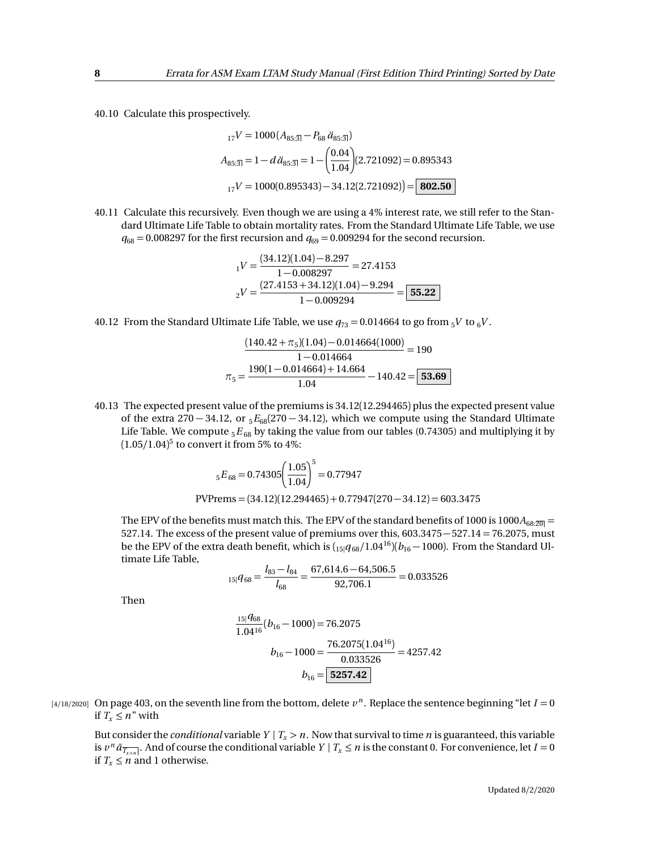40.10 Calculate this prospectively.

$$
{}_{17}V = 1000 (A_{85:\overline{3}|} - P_{68} \ddot{a}_{85:\overline{3}|})
$$
  
\n
$$
A_{85:\overline{3}|} = 1 - d \ddot{a}_{85:\overline{3}|} = 1 - \left(\frac{0.04}{1.04}\right) (2.721092) = 0.895343
$$
  
\n
$$
{}_{17}V = 1000(0.895343) - 34.12(2.721092)\left) = 802.50
$$

40.11 Calculate this recursively. Even though we are using a 4% interest rate, we still refer to the Standard Ultimate Life Table to obtain mortality rates. From the Standard Ultimate Life Table, we use  $q_{68} = 0.008297$  for the first recursion and  $q_{69} = 0.009294$  for the second recursion.

$$
_1V = \frac{(34.12)(1.04) - 8.297}{1 - 0.008297} = 27.4153
$$

$$
_2V = \frac{(27.4153 + 34.12)(1.04) - 9.294}{1 - 0.009294} = \boxed{55.22}
$$

40.12 From the Standard Ultimate Life Table, we use  $q_{73} = 0.014664$  to go from  $5V$  to  $6V$ .

$$
\frac{(140.42 + \pi_5)(1.04) - 0.014664(1000)}{1 - 0.014664} = 190
$$

$$
\pi_5 = \frac{190(1 - 0.014664) + 14.664}{1.04} - 140.42 = 53.69
$$

40.13 The expected present value of the premiums is 34.12(12.294465) plus the expected present value of the extra 270 − 34.12, or <sup>5</sup>*E*68(270 − 34.12), which we compute using the Standard Ultimate Life Table. We compute  ${}_5E_{68}$  by taking the value from our tables (0.74305) and multiplying it by (1.05*/*1.04) 5 to convert it from 5% to 4%:

$$
{}_{5}E_{68} = 0.74305 \left(\frac{1.05}{1.04}\right)^{5} = 0.77947
$$
  
PVPrems = (34.12)(12.294465) + 0.77947(270 - 34.12) = 603.3475

The EPV of the benefits must match this. The EPV of the standard benefits of 1000 is 1000 $A_{68:20}$  = 527.14. The excess of the present value of premiums over this, 603.3475−527.14 = 76.2075, must be the EPV of the extra death benefit, which is  $\left(15|q_{68}/1.04^{16}\right)\left(b_{16}-1000\right)$ . From the Standard Ultimate Life Table,

$$
{}_{15|}q_{68} = \frac{l_{83} - l_{84}}{l_{68}} = \frac{67,614.6 - 64,506.5}{92,706.1} = 0.033526
$$

Then

$$
\frac{15|q_{68}}{1.04^{16}}(b_{16} - 1000) = 76.2075
$$

$$
b_{16} - 1000 = \frac{76.2075(1.04^{16})}{0.033526} = 4257.42
$$

$$
b_{16} = \boxed{5257.42}
$$

 $(4/18/2020]$  On page 403, on the seventh line from the bottom, delete  $v^n$ . Replace the sentence beginning "let  $I = 0$ if  $T_x \leq n''$  with

But consider the *conditional* variable  $Y | T_x > n$ . Now that survival to time *n* is guaranteed, this variable is  $v^n \bar{a}_{\overline{T_{x+n}}}$ . And of course the conditional variable  $Y | T_x \le n$  is the constant 0. For convenience, let  $I = 0$ if  $T_x \leq n$  and 1 otherwise.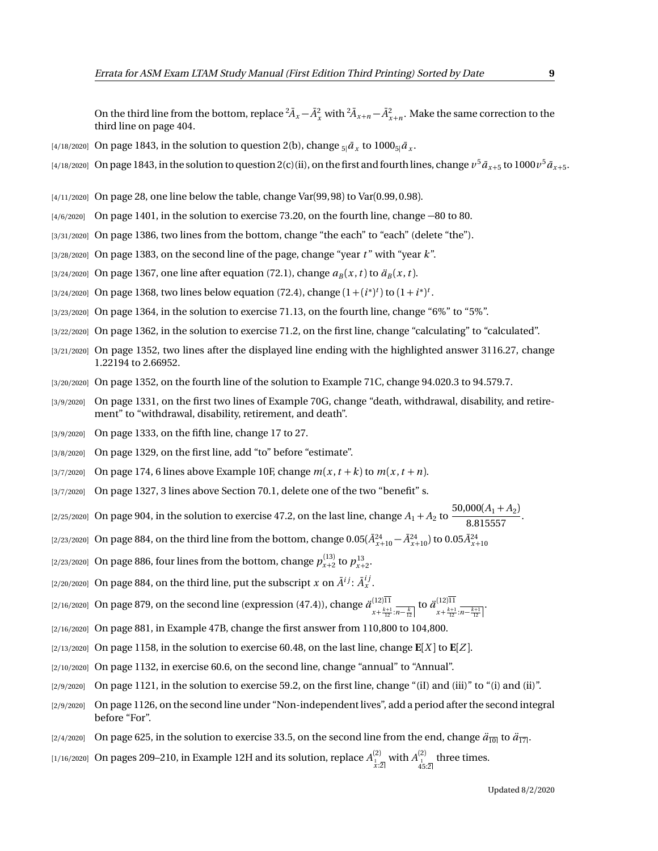On the third line from the bottom, replace  ${}^2\bar{A}_x - \bar{A}_x^2$  with  ${}^2\bar{A}_{x+n} - \bar{A}_{x+n}^2$ . Make the same correction to the third line on page 404.

- [4/18/2020] On page 1843, in the solution to question 2(b), change  $_{5|}\bar{a}_{x}$  to 1000 $_{5|}\bar{a}_{x}.$
- $_{[4/18/2020]}$  On page 1843, in the solution to question 2(c)(ii), on the first and fourth lines, change  $v^5\bar{a}_{x+5}$  to  $1000v^5\bar{a}_{x+5}$ .
- [4/11/2020] On page 28, one line below the table, change Var(99, 98) to Var(0.99, 0.98).
- [4/6/2020] On page 1401, in the solution to exercise 73.20, on the fourth line, change −80 to 80.
- [3/31/2020] On page 1386, two lines from the bottom, change "the each" to "each" (delete "the").
- [3/28/2020] On page 1383, on the second line of the page, change "year *t* " with "year *k*".
- [3/24/2020] On page 1367, one line after equation (72.1), change  $a_B(x, t)$  to  $\ddot{a}_B(x, t)$ .
- [3/24/2020] On page 1368, two lines below equation (72.4), change  $(1 + (i^*)^t)$  to  $(1 + i^*)^t$ .
- [3/23/2020] On page 1364, in the solution to exercise 71.13, on the fourth line, change "6%" to "5%".
- [3/22/2020] On page 1362, in the solution to exercise 71.2, on the first line, change "calculating" to "calculated".
- [3/21/2020] On page 1352, two lines after the displayed line ending with the highlighted answer 3116.27, change 1.22194 to 2.66952.
- [3/20/2020] On page 1352, on the fourth line of the solution to Example 71C, change 94.020.3 to 94.579.7.
- [3/9/2020] On page 1331, on the first two lines of Example 70G, change "death, withdrawal, disability, and retirement" to "withdrawal, disability, retirement, and death".
- [3/9/2020] On page 1333, on the fifth line, change 17 to 27.
- [3/8/2020] On page 1329, on the first line, add "to" before "estimate".
- $\left[\frac{3}{7}{2020}\right]$  On page 174, 6 lines above Example 10F, change  $m(x, t + k)$  to  $m(x, t + n)$ .
- [3/7/2020] On page 1327, 3 lines above Section 70.1, delete one of the two "benefit" s.
- [2/25/2020] On page 904, in the solution to exercise 47.2, on the last line, change  $A_1 + A_2$  to  $\frac{50,000(A_1 + A_2)}{8,0.15557}$  $\frac{1}{8.815557}$ .
- $(2/23/2020]$  On page 884, on the third line from the bottom, change  $0.05(\bar{A}^{24}_{x+10}-\bar{A}^{24}_{x+10})$  to  $0.05\bar{A}^{24}_{x+10}$
- [2/23/2020] On page 886, four lines from the bottom, change  $p_{x+2}^{(13)}$  to  $p_{x+2}^{13}$ .
- [2/20/2020] On page 884, on the third line, put the subscript  $x$  on  $\tilde{A}^{ij}$ :  $\tilde{A}^{ij}_x$  .
- [2/16/2020] On page 879, on the second line (expression (47.4)), change *a*¨ (12)11  $\frac{(12)11}{x + \frac{k+1}{12} \cdot n - \frac{k}{12}}$  to  $\frac{\ddot{a}^{(12)11}}{x + \frac{k+1}{12}}$  $x+\frac{k+1}{12}$ : $\overline{n-\frac{k+1}{12}}$
- [2/16/2020] On page 881, in Example 47B, change the first answer from 110,800 to 104,800.
- $\lbrack 2/13/2020\rbrack$  On page 1158, in the solution to exercise 60.48, on the last line, change  $\mathbf{E}[X]$  to  $\mathbf{E}[Z]$ .
- [2/10/2020] On page 1132, in exercise 60.6, on the second line, change "annual" to "Annual".
- $[2/9/2020]$  On page 1121, in the solution to exercise 59.2, on the first line, change "(iI) and (iii)" to "(i) and (iii)".
- [2/9/2020] On page 1126, on the second line under "Non-independent lives", add a period after the second integral before "For".
- [2/4/2020] On page 625, in the solution to exercise 33.5, on the second line from the end, change  $\ddot{a}_{\overline{10}}$  to  $\ddot{a}_{\overline{17}}$ .
- [1/16/2020] On pages 209–210, in Example 12H and its solution, replace  $A^{(2)}_{\frac{1}{\chi},2]}$  with  $A^{(2)}_{\frac{1}{45:2]}}$  three times.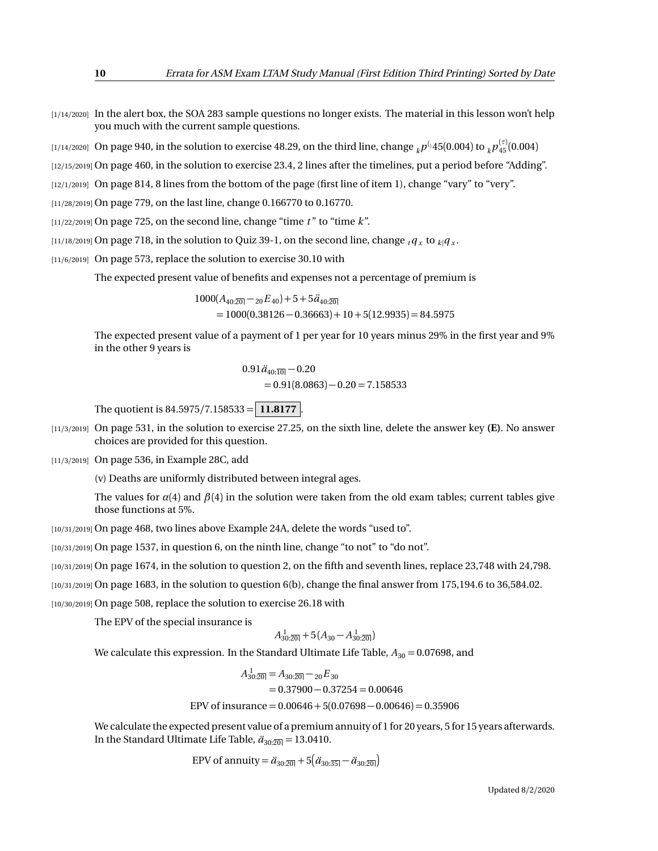[1/14/2020] In the alert box, the SOA 283 sample questions no longer exists. The material in this lesson won't help you much with the current sample questions.

 $_{[1/14/2020]}$  On page 940, in the solution to exercise 48.29, on the third line, change  $_{k}p^{(_{1}45(0.004)\text{ to }}_{k}p^{(\tau)}_{45}(0.004)$ 

[12/15/2019] On page 460, in the solution to exercise 23.4, 2 lines after the timelines, put a period before "Adding".

[12/1/2019] On page 814, 8 lines from the bottom of the page (first line of item 1), change "vary" to "very".

[11/28/2019] On page 779, on the last line, change 0.166770 to 0.16770.

 $[11/22/2019]$  On page 725, on the second line, change "time  $t$ " to "time  $k$ ".

 $_{[11/18/2019]}$  On page 718, in the solution to Quiz 39-1, on the second line, change  $_{t}$ *q*  $_{x}$  to  $_{k}$   $_{q}$   $_{x}$  .

[11/6/2019] On page 573, replace the solution to exercise 30.10 with

The expected present value of benefits and expenses not a percentage of premium is

 $1000(A_{40.20} - 20E_{40}) + 5 + 5\ddot{a}_{40.20}$  $= 1000(0.38126 - 0.36663) + 10 + 5(12.9935) = 84.5975$ 

The expected present value of a payment of 1 per year for 10 years minus 29% in the first year and 9% in the other 9 years is

$$
0.91 \ddot{a}_{40:\overline{10}} - 0.20
$$
  
= 0.91(8.0863) - 0.20 = 7.158533

The quotient is 84.5975*/*7.158533 = **11.8177** .

[11/3/2019] On page 531, in the solution to exercise 27.25, on the sixth line, delete the answer key **(E)**. No answer choices are provided for this question.

[11/3/2019] On page 536, in Example 28C, add

(v) Deaths are uniformly distributed between integral ages.

The values for  $\alpha(4)$  and  $\beta(4)$  in the solution were taken from the old exam tables; current tables give those functions at 5%.

[10/31/2019] On page 468, two lines above Example 24A, delete the words "used to".

[10/31/2019] On page 1537, in question 6, on the ninth line, change "to not" to "do not".

[10/31/2019] On page 1674, in the solution to question 2, on the fifth and seventh lines, replace 23,748 with 24,798.

[10/31/2019] On page 1683, in the solution to question 6(b), change the final answer from 175,194.6 to 36,584.02.

[10/30/2019] On page 508, replace the solution to exercise 26.18 with

The EPV of the special insurance is

$$
A_{30:20}^{1} + 5(A_{30} - A_{30:20}^{1})
$$

We calculate this expression. In the Standard Ultimate Life Table,  $A_{30} = 0.07698$ , and

 $A_{30:20}^1 = A_{30:20} - A_{20}E_{30}$  $= 0.37900 - 0.37254 = 0.00646$ 

EPV of insurance =  $0.00646 + 5(0.07698 - 0.00646) = 0.35906$ 

We calculate the expected present value of a premium annuity of 1 for 20 years, 5 for 15 years afterwards. In the Standard Ultimate Life Table,  $\ddot{a}_{30:20} = 13.0410$ .

EPV of annuity =  $\ddot{a}_{30:\overline{20|}} + 5(\ddot{a}_{30:\overline{35|}} - \ddot{a}_{30:\overline{20|}})$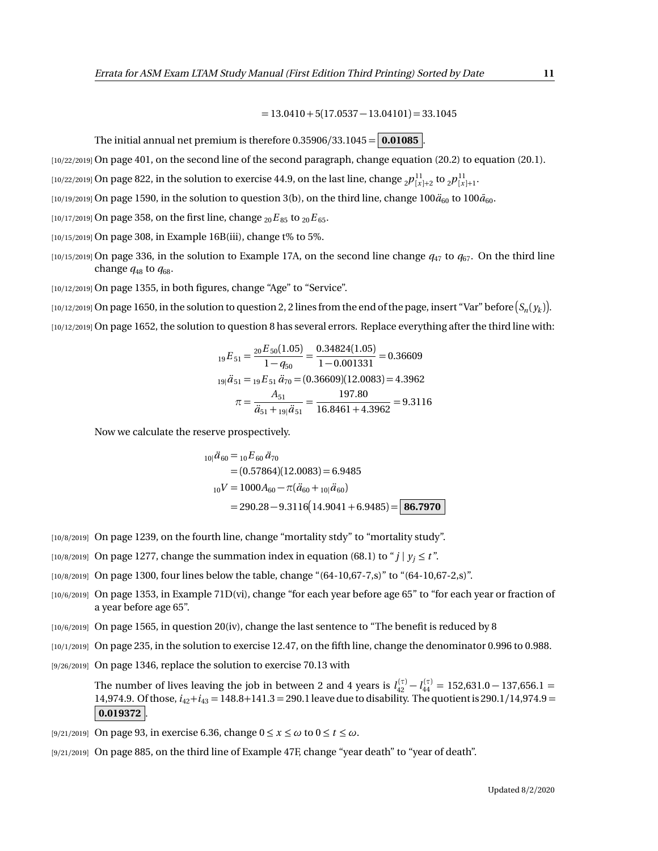$= 13.0410 + 5(17.0537 - 13.04101) = 33.1045$ 

The initial annual net premium is therefore  $0.35906/33.1045 = 0.01085$ 

[10/22/2019] On page 401, on the second line of the second paragraph, change equation (20.2) to equation (20.1).

 $_{[10/22/2019]}$  On page 822, in the solution to exercise 44.9, on the last line, change  $_{2}p_{[x]+2}^{11}$  to  $_{2}p_{[x]+1}^{11}$ .

 $[10/19/2019]$  On page 1590, in the solution to question 3(b), on the third line, change  $100\ddot{a}_{60}$  to  $100\ddot{a}_{60}$ .

[10/17/2019] On page 358, on the first line, change  ${}_{20}E_{85}$  to  ${}_{20}E_{65}$ .

[10/15/2019] On page 308, in Example 16B(iii), change t% to 5%.

 $[10/15/2019]$  On page 336, in the solution to Example 17A, on the second line change  $q_{47}$  to  $q_{67}$ . On the third line change  $q_{48}$  to  $q_{68}$ .

[10/12/2019] On page 1355, in both figures, change "Age" to "Service".

 $_1$ 10/12/2019] On page 1650, in the solution to question 2, 2 lines from the end of the page, insert "Var" before  $(S_n(y_k)].$ [10/12/2019] On page 1652, the solution to question 8 has several errors. Replace everything after the third line with:

$$
{}_{19}E_{51} = \frac{{}_{20}E_{50}(1.05)}{1 - q_{50}} = \frac{0.34824(1.05)}{1 - 0.001331} = 0.36609
$$
  

$$
{}_{19}i\ddot{a}_{51} = {}_{19}E_{51}\ddot{a}_{70} = (0.36609)(12.0083) = 4.3962
$$
  

$$
\pi = \frac{A_{51}}{\ddot{a}_{51} + {}_{19}i\ddot{a}_{51}} = \frac{197.80}{16.8461 + 4.3962} = 9.3116
$$

Now we calculate the reserve prospectively.

$$
{}_{10|}\ddot{a}_{60} = {}_{10}E_{60}\ddot{a}_{70}
$$
  
= (0.57864)(12.0083) = 6.9485  

$$
{}_{10}V = 1000A_{60} - \pi(\ddot{a}_{60} + {}_{10}|\ddot{a}_{60})
$$
  
= 290.28 - 9.3116(14.9041 + 6.9485) = 86.7970

- [10/8/2019] On page 1239, on the fourth line, change "mortality stdy" to "mortality study".
- [10/8/2019] On page 1277, change the summation index in equation (68.1) to " $j \mid y_i \le t$ ".
- [10/8/2019] On page 1300, four lines below the table, change "(64-10,67-7,s)" to "(64-10,67-2,s)".
- [10/6/2019] On page 1353, in Example 71D(vi), change "for each year before age 65" to "for each year or fraction of a year before age 65".
- [10/6/2019] On page 1565, in question 20(iv), change the last sentence to "The benefit is reduced by 8
- [10/1/2019] On page 235, in the solution to exercise 12.47, on the fifth line, change the denominator 0.996 to 0.988.
- [9/26/2019] On page 1346, replace the solution to exercise 70.13 with

The number of lives leaving the job in between 2 and 4 years is  $l_{42}^{(\tau)} - l_{44}^{(\tau)} = 152{,}631.0 - 137{,}656.1 =$ 14,974.9. Of those, *i*42+*i*<sup>43</sup> = 148.8+141.3 = 290.1 leave due to disability. The quotient is 290.1*/*14,974.9 = **0.019372** .

[9/21/2019] On page 93, in exercise 6.36, change 0 ≤ *x* ≤ *ω* to 0 ≤ *t* ≤ *ω*.

[9/21/2019] On page 885, on the third line of Example 47F, change "year death" to "year of death".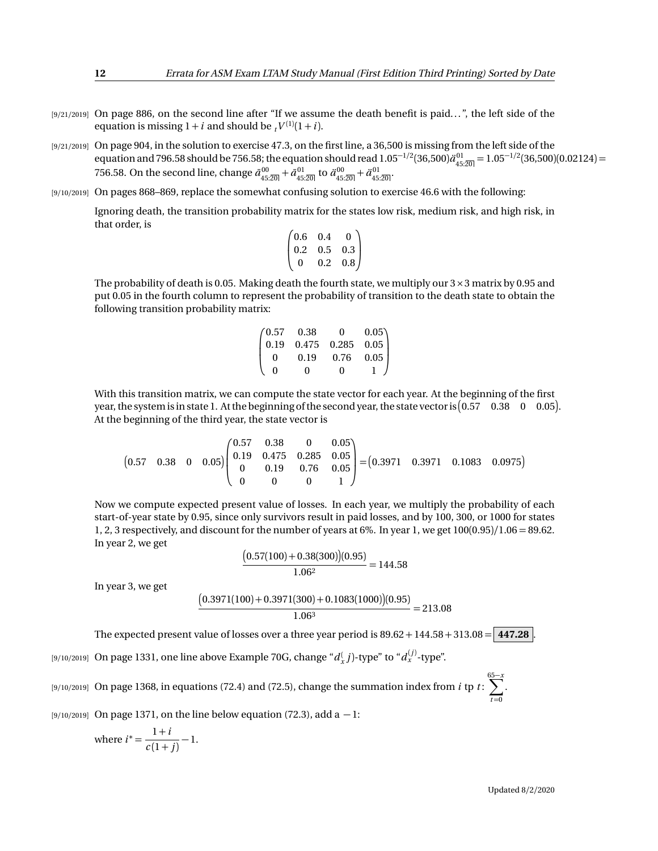- [9/21/2019] On page 886, on the second line after "If we assume the death benefit is paid...", the left side of the equation is missing  $1 + i$  and should be  $t^{V^{(1)}(1+i)}$ .
- [9/21/2019] On page 904, in the solution to exercise 47.3, on the first line, a 36,500 is missing from the left side of the equation and 796.58 should be 756.58; the equation should read  $1.05^{-1/2}(36,500) \ddot{a}_{45:\overline{20}|}^{01}=1.05^{-1/2}(36,500) (0.02124)=0.05$ 756.58. On the second line, change  $\bar{a}_{45:20]}^{00} + \bar{a}_{45:20}^{01}$  to  $\ddot{a}_{45:20]}^{00} + \ddot{a}_{45:20}^{01}$ .
- [9/10/2019] On pages 868–869, replace the somewhat confusing solution to exercise 46.6 with the following: Ignoring death, the transition probability matrix for the states low risk, medium risk, and high risk, in that order, is

$$
\begin{pmatrix} 0.6 & 0.4 & 0 \\ 0.2 & 0.5 & 0.3 \\ 0 & 0.2 & 0.8 \end{pmatrix}
$$

The probability of death is 0.05. Making death the fourth state, we multiply our  $3 \times 3$  matrix by 0.95 and put 0.05 in the fourth column to represent the probability of transition to the death state to obtain the following transition probability matrix:

$$
\begin{pmatrix} 0.57 & 0.38 & 0 & 0.05 \\ 0.19 & 0.475 & 0.285 & 0.05 \\ 0 & 0.19 & 0.76 & 0.05 \\ 0 & 0 & 0 & 1 \end{pmatrix}
$$

With this transition matrix, we can compute the state vector for each year. At the beginning of the first year, the system is in state 1. At the beginning of the second year, the state vector is  $(0.57 \quad 0.38 \quad 0 \quad 0.05)$ . At the beginning of the third year, the state vector is

 $(0.57 \t 0.38 \t 0 \t 0.05)$  $\sqrt{ }$  $\mathbf{I}$ 0.57 0.38 0 0.05 0.19 0.475 0.285 0.05 0 0.19 0.76 0.05 0 0 0 1 λ  $= (0.3971 \quad 0.3971 \quad 0.1083 \quad 0.0975)$ 

Now we compute expected present value of losses. In each year, we multiply the probability of each start-of-year state by 0.95, since only survivors result in paid losses, and by 100, 300, or 1000 for states 1, 2, 3 respectively, and discount for the number of years at 6%. In year 1, we get 100(0.95)*/*1.06 = 89.62. In year 2, we get

$$
\frac{(0.57(100) + 0.38(300))(0.95)}{1.06^2} = 144.58
$$

In year 3, we get

$$
\frac{(0.3971(100) + 0.3971(300) + 0.1083(1000))(0.95)}{1.06^3} = 213.08
$$

The expected present value of losses over a three year period is  $89.62 + 144.58 + 313.08 = 447.28$ 

 $_{[9/10/2019]}$  On page 1331, one line above Example 70G, change " $d_{x}^{(}$   $j)$ -type" to " $d_{x}^{(j)}$ -type".

[9/10/2019] On page 1368, in equations (72.4) and (72.5), change the summation index from *i* tp *t* :  $\sum_{i=1}^{65-x}$  $t = 0$ 

[9/10/2019] On page 1371, on the line below equation (72.3), add a − 1:

where 
$$
i^* = \frac{1+i}{c(1+j)} - 1
$$
.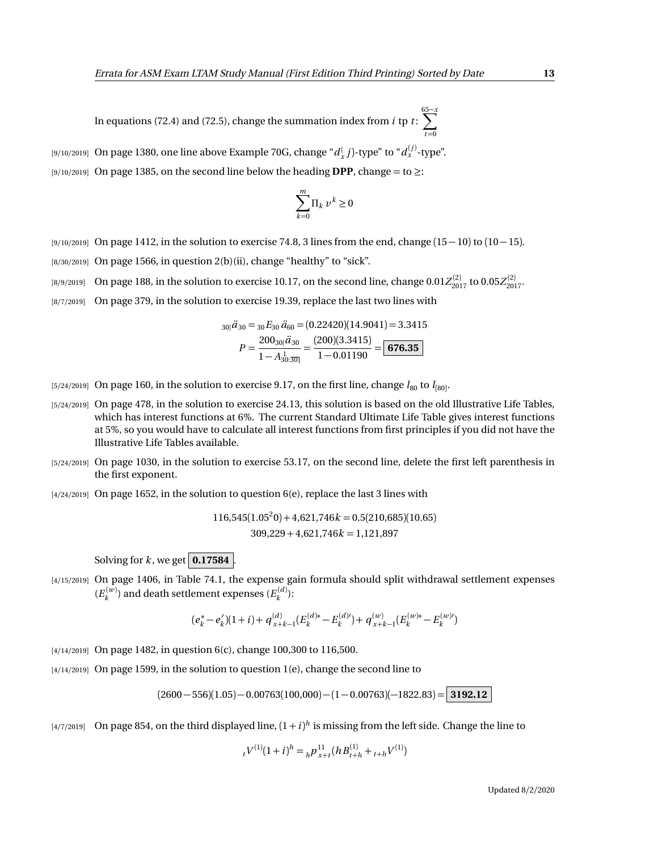In equations (72.4) and (72.5), change the summation index from *i* tp *t* : 65 X−*x*  $t = 0$ 

 $_{[9/10/2019]}$  On page 1380, one line above Example 70G, change " $d_{x}^{(-)}$  j)-type" to " $d_{x}^{(j)}$ -type". [9/10/2019] On page 1385, on the second line below the heading **DPP**, change = to ≥:

$$
\sum_{k=0}^m \Pi_k \, v^k \ge 0
$$

- [9/10/2019] On page 1412, in the solution to exercise 74.8, 3 lines from the end, change (15 − 10) to (10 − 15).  $[8/30/2019]$  On page 1566, in question 2(b)(ii), change "healthy" to "sick".
- $_{[8/9/2019]}$  On page 188, in the solution to exercise 10.17, on the second line, change  $0.01 Z_{2017}^{(2)}$  to  $0.05 Z_{2017}^{(2)}$ .
- [8/7/2019] On page 379, in the solution to exercise 19.39, replace the last two lines with

$$
30| \ddot{d}_{30} = 30 E_{30} \ddot{d}_{60} = (0.22420)(14.9041) = 3.3415
$$

$$
P = \frac{200_{30} | \ddot{d}_{30}}{1 - A_{30:30}^1} = \frac{(200)(3.3415)}{1 - 0.01190} = \boxed{676.35}
$$

- $_{[5/24/2019]}$  On page 160, in the solution to exercise 9.17, on the first line, change  $l_{80}$  to  $l_{[80]}$ .
- [5/24/2019] On page 478, in the solution to exercise 24.13, this solution is based on the old Illustrative Life Tables, which has interest functions at 6%. The current Standard Ultimate Life Table gives interest functions at 5%, so you would have to calculate all interest functions from first principles if you did not have the Illustrative Life Tables available.
- [5/24/2019] On page 1030, in the solution to exercise 53.17, on the second line, delete the first left parenthesis in the first exponent.
- $[4/24/2019]$  On page 1652, in the solution to question  $6(e)$ , replace the last 3 lines with

 $116,545(1.05^20) + 4,621,746k = 0.5(210,685)(10.65)$ 309,229 + 4,621,746*k* = 1,121,897

Solving for  $k$ , we get  $\vert$  **0.17584**  $\vert$ .

[4/15/2019] On page 1406, in Table 74.1, the expense gain formula should split withdrawal settlement expenses  $(E_k^{(w)})$  and death settlement expenses  $(E_k^{(d)})$ :

$$
(e_k^* - e_k')(1+i) + q_{x+k-1}^{(d)}(E_k^{(d)*} - E_k^{(d)}) + q_{x+k-1}^{(w)}(E_k^{(w)*} - E_k^{(w)})
$$

- [4/14/2019] On page 1482, in question 6(c), change 100,300 to 116,500.
- [4/14/2019] On page 1599, in the solution to question 1(e), change the second line to

 $(2600 - 556)(1.05) - 0.00763(100,000) - (1 - 0.00763)(-1822.83) =$  **3192.12** 

 $\frac{14}{7}{2019}$  On page 854, on the third displayed line,  $(1+i)^h$  is missing from the left side. Change the line to

$$
{}_{t}V^{(1)}(1+i)^{h} = {}_{h}P_{x+t}^{11}(hB_{t+h}^{(1)} + {}_{t+h}V^{(1)})
$$

Updated 8/2/2020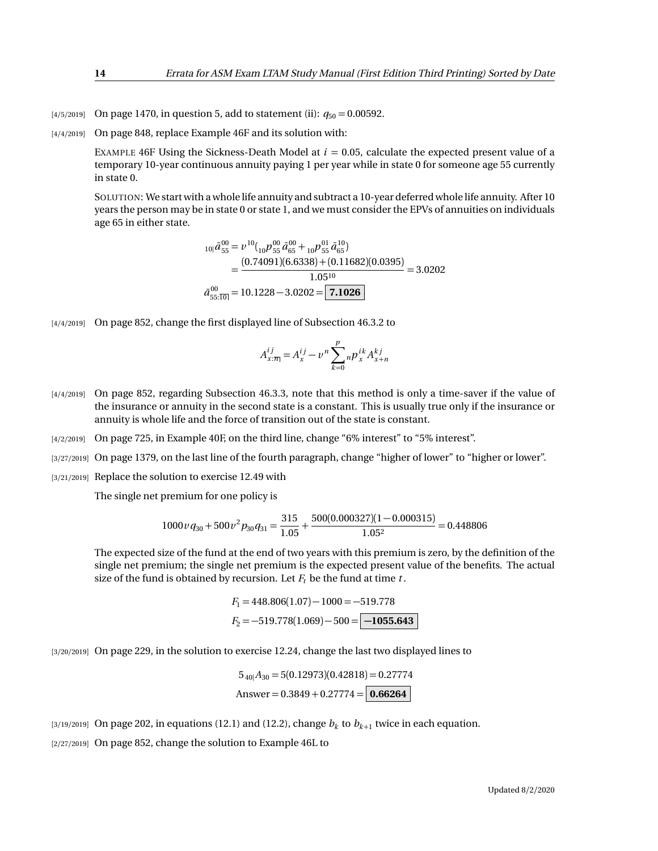- [4/5/2019] On page 1470, in question 5, add to statement (ii):  $q_{50} = 0.00592$ .
- [4/4/2019] On page 848, replace Example 46F and its solution with:

EXAMPLE 46F Using the Sickness-Death Model at  $i = 0.05$ , calculate the expected present value of a temporary 10-year continuous annuity paying 1 per year while in state 0 for someone age 55 currently in state 0.

SOLUTION: We start with a whole life annuity and subtract a 10-year deferred whole life annuity. After 10 years the person may be in state 0 or state 1, and we must consider the EPVs of annuities on individuals age 65 in either state.

$$
_{10|}\bar{a}_{55}^{00} = \nu^{10}({}_{10}\nu^{00}_{55}\bar{a}_{65}^{00} + {}_{10}\nu^{01}_{55}\bar{a}_{65}^{10})
$$
  
= 
$$
\frac{(0.74091)(6.6338) + (0.11682)(0.0395)}{1.05^{10}} = 3.0202
$$
  

$$
\bar{a}_{55:\overline{10|}}^{00} = 10.1228 - 3.0202 = \boxed{7.1026}
$$

[4/4/2019] On page 852, change the first displayed line of Subsection 46.3.2 to

$$
A_{x:\overline{n}}^{ij} = A_x^{ij} - v^n \sum_{k=0}^p n p_x^{ik} A_{x+n}^{kj}
$$

- [4/4/2019] On page 852, regarding Subsection 46.3.3, note that this method is only a time-saver if the value of the insurance or annuity in the second state is a constant. This is usually true only if the insurance or annuity is whole life and the force of transition out of the state is constant.
- [4/2/2019] On page 725, in Example 40F, on the third line, change "6% interest" to "5% interest".
- [3/27/2019] On page 1379, on the last line of the fourth paragraph, change "higher of lower" to "higher or lower".
- [3/21/2019] Replace the solution to exercise 12.49 with

The single net premium for one policy is

$$
1000 \nu q_{30} + 500 \nu^2 p_{30} q_{31} = \frac{315}{1.05} + \frac{500(0.000327)(1 - 0.000315)}{1.05^2} = 0.448806
$$

The expected size of the fund at the end of two years with this premium is zero, by the definition of the single net premium; the single net premium is the expected present value of the benefits. The actual size of the fund is obtained by recursion. Let  $F_t$  be the fund at time  $t$ .

$$
F_1 = 448.806(1.07) - 1000 = -519.778
$$

$$
F_2 = -519.778(1.069) - 500 = \boxed{-1055.643}
$$

[3/20/2019] On page 229, in the solution to exercise 12.24, change the last two displayed lines to

$$
5_{40}A_{30} = 5(0.12973)(0.42818) = 0.27774
$$
  
Answer = 0.3849 + 0.27774 = 0.66264

 $\left( \frac{3}{19/2019} \right)$  On page 202, in equations (12.1) and (12.2), change  $b_k$  to  $b_{k+1}$  twice in each equation.

[2/27/2019] On page 852, change the solution to Example 46L to